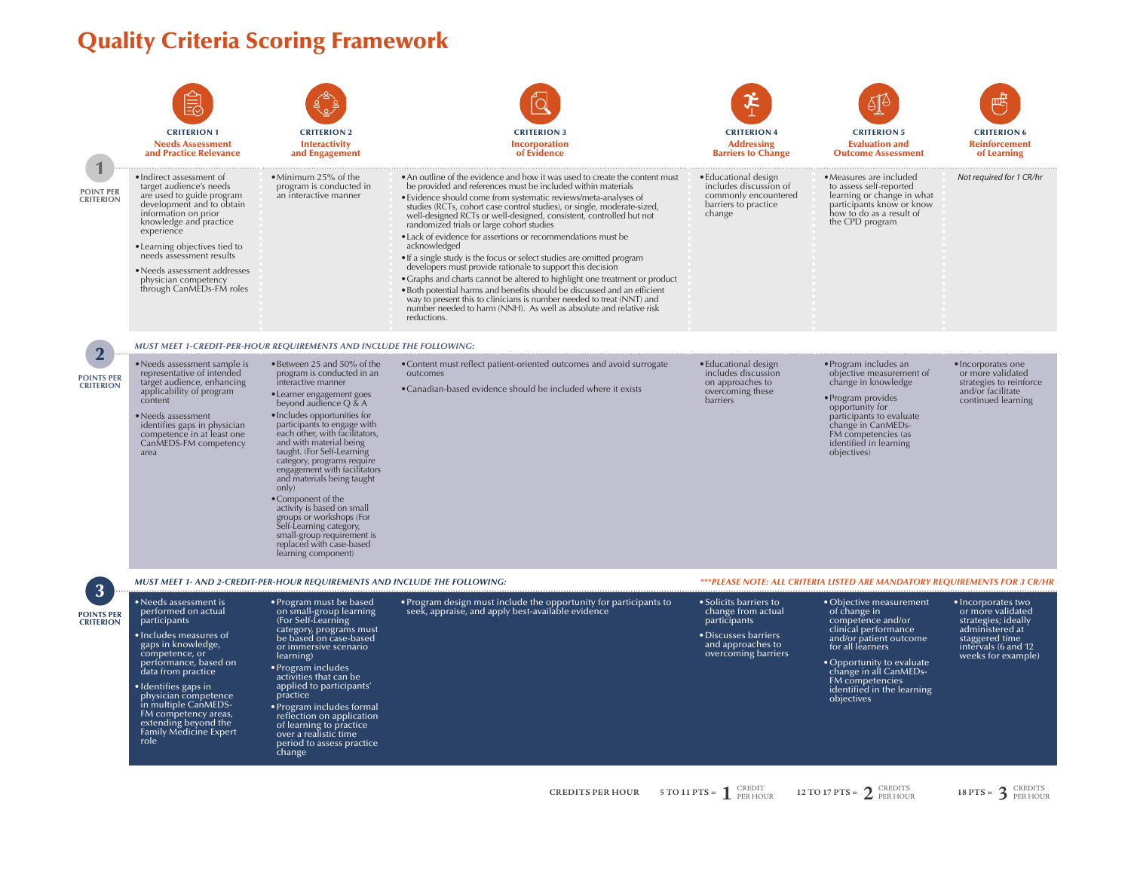## Quality Criteria Scoring Framework

| <b>POINT PER</b><br><b>CRITERION</b>  | <b>CRITERION 1</b><br><b>Needs Assessment</b><br>and Practice Relevance<br>· Indirect assessment of<br>target audience's needs<br>are used to guide program<br>development and to obtain<br>information on prior<br>knowledge and practice<br>experience<br>• Learning objectives tied to<br>needs assessment results<br>• Needs assessment addresses<br>physician competency<br>through CanMEDs-FM roles | <b>CRITERION 2</b><br><b>Interactivity</b><br>and Engagement<br>• Minimum 25% of the<br>program is conducted in<br>an interactive manner                                                                                                                                                                                                                                                                                                                                                                                                                                                                                                                                   | <b>CRITERION 3</b><br><b>Incorporation</b><br>of Evidence<br>• An outline of the evidence and how it was used to create the content must<br>be provided and references must be included within materials<br>• Evidence should come from systematic reviews/meta-analyses of<br>studies (RCTs, cohort case control studies), or single, moderate-sized,<br>well-designed RCTs or well-designed, consistent, controlled but not<br>randomized trials or large cohort studies<br>• Lack of evidence for assertions or recommendations must be<br>acknowledged<br>• If a single study is the focus or select studies are omitted program<br>developers must provide rationale to support this decision<br>• Graphs and charts cannot be altered to highlight one treatment or product<br>• Both potential harms and benefits should be discussed and an efficient<br>way to present this to clinicians is number needed to treat (NNT) and<br>number needed to harm (NNH). As well as absolute and relative risk<br>reductions. | <b>CRITERION 4</b><br><b>Addressing</b><br><b>Barriers to Change</b><br>• Educational design<br>includes discussion of<br>commonly encountered<br>barriers to practice<br>change | <b>CRITERION 5</b><br><b>Evaluation and</b><br><b>Outcome Assessment</b><br>• Measures are included<br>to assess self-reported<br>learning or change in what<br>participants know or know<br>how to do as a result of<br>the CPD program                 | <b>CRITERION 6</b><br><b>Reinforcement</b><br>of Learning<br>Not required for 1 CR/hr                                                            |
|---------------------------------------|-----------------------------------------------------------------------------------------------------------------------------------------------------------------------------------------------------------------------------------------------------------------------------------------------------------------------------------------------------------------------------------------------------------|----------------------------------------------------------------------------------------------------------------------------------------------------------------------------------------------------------------------------------------------------------------------------------------------------------------------------------------------------------------------------------------------------------------------------------------------------------------------------------------------------------------------------------------------------------------------------------------------------------------------------------------------------------------------------|-----------------------------------------------------------------------------------------------------------------------------------------------------------------------------------------------------------------------------------------------------------------------------------------------------------------------------------------------------------------------------------------------------------------------------------------------------------------------------------------------------------------------------------------------------------------------------------------------------------------------------------------------------------------------------------------------------------------------------------------------------------------------------------------------------------------------------------------------------------------------------------------------------------------------------------------------------------------------------------------------------------------------------|----------------------------------------------------------------------------------------------------------------------------------------------------------------------------------|----------------------------------------------------------------------------------------------------------------------------------------------------------------------------------------------------------------------------------------------------------|--------------------------------------------------------------------------------------------------------------------------------------------------|
| <b>POINTS PER</b><br><b>CRITERION</b> | • Needs assessment sample is<br>representative of intended<br>target audience, enhancing<br>applicability of program<br>content<br>$\bullet$ Needs assessment<br>identifies gaps in physician<br>competence in at least one<br>CanMEDS-FM competency<br>area                                                                                                                                              | MUST MEET 1-CREDIT-PER-HOUR REQUIREMENTS AND INCLUDE THE FOLLOWING:<br>• Between 25 and 50% of the<br>program is conducted in an<br>interactive manner<br>• Learner engagement goes<br>beyond audience $Q \& A$<br>· Includes opportunities for<br>participants to engage with<br>each other, with facilitators,<br>and with material being<br>taught. (For Self-Learning<br>category, programs require<br>engagement with facilitators<br>and materials being taught<br>only)<br>• Component of the<br>activity is based on small<br>groups or workshops (For<br>Self-Learning category,<br>small-group requirement is<br>replaced with case-based<br>learning component) | • Content must reflect patient-oriented outcomes and avoid surrogate<br>outcomes<br>• Canadian-based evidence should be included where it exists                                                                                                                                                                                                                                                                                                                                                                                                                                                                                                                                                                                                                                                                                                                                                                                                                                                                            | • Educational design<br>includes discussion<br>on approaches to<br>overcoming these<br>barriers                                                                                  | • Program includes an<br>objective measurement of<br>change in knowledge<br>• Program provides<br>opportunity for<br>participants to evaluate<br>change in CanMEDs-<br>FM competencies (as<br>identified in learning<br>objectives)                      | · Incorporates one<br>or more validated<br>strategies to reinforce<br>and/or facilitate<br>continued learning                                    |
|                                       | MUST MEET 1- AND 2-CREDIT-PER-HOUR REQUIREMENTS AND INCLUDE THE FOLLOWING:                                                                                                                                                                                                                                                                                                                                |                                                                                                                                                                                                                                                                                                                                                                                                                                                                                                                                                                                                                                                                            |                                                                                                                                                                                                                                                                                                                                                                                                                                                                                                                                                                                                                                                                                                                                                                                                                                                                                                                                                                                                                             | ***PLEASE NOTE: ALL CRITERIA LISTED ARE MANDATORY REQUIREMENTS FOR 3 CR/HR                                                                                                       |                                                                                                                                                                                                                                                          |                                                                                                                                                  |
| <b>POINTS PER</b><br><b>CRITERION</b> | $\bullet$ Needs assessment is<br>performed on actual<br>participants<br>$\bullet$ Includes measures of<br>gaps in knowledge,<br>competence, or<br>performance, based on<br>data from practice<br>• Identifies gaps in<br>physician competence<br>in multiple CanMEDS-<br>FM competency areas,<br>extending beyond the<br><b>Family Medicine Expert</b><br>role                                            | • Program must be based<br>on small-group learning<br>(For Self-Learning<br>category, programs must<br>be based on case-based<br>or immersive scenario<br>learning)<br>• Program includes<br>activities that can be<br>applied to participants'<br>practice<br>• Program includes formal<br>reflection on application<br>of learning to practice<br>over a realistic time<br>period to assess practice<br>change                                                                                                                                                                                                                                                           | • Program design must include the opportunity for participants to<br>seek, appraise, and apply best-available evidence                                                                                                                                                                                                                                                                                                                                                                                                                                                                                                                                                                                                                                                                                                                                                                                                                                                                                                      | • Solicits barriers to<br>change from actual<br>participants<br>• Discusses barriers<br>and approaches to<br>overcoming barriers                                                 | • Objective measurement<br>of change in<br>competence and/or<br>clinical performance<br>and/or patient outcome<br>for all learners<br>• Opportunity to evaluate<br>change in all CanMEDs-<br>FM competencies<br>identified in the learning<br>objectives | • Incorporates two<br>or more validated<br>strategies; ideally<br>administered at<br>staggered time<br>intervals (6 and 12<br>weeks for example) |
|                                       |                                                                                                                                                                                                                                                                                                                                                                                                           |                                                                                                                                                                                                                                                                                                                                                                                                                                                                                                                                                                                                                                                                            |                                                                                                                                                                                                                                                                                                                                                                                                                                                                                                                                                                                                                                                                                                                                                                                                                                                                                                                                                                                                                             |                                                                                                                                                                                  |                                                                                                                                                                                                                                                          |                                                                                                                                                  |

**CREDITS PER HOUR** 5 TO 11 PTS =  $\int_{\text{PERHOUR}}^{\text{CRBIT}} 12 \text{ TO 17 PTS} = 2 \text{ CREDITS}$  18 PTS =  $\int_{\text{PERHOUR}}^{\text{CRENTS}} 18 \text{ PTS} = 3 \text{ CREDITS}$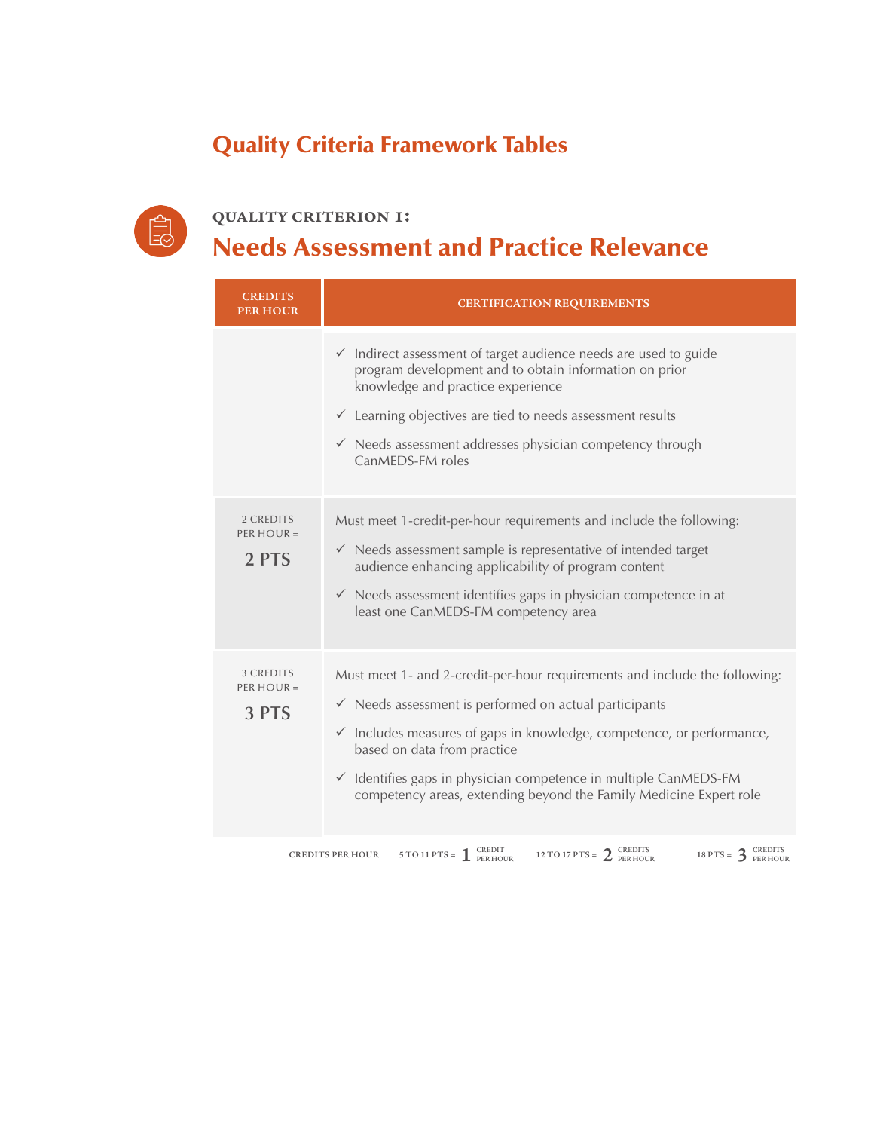## Quality Criteria Framework Tables



**quality criterion 1:**  Needs Assessment and Practice Relevance

| <b>CREDITS</b><br><b>PER HOUR</b>  | <b>CERTIFICATION REQUIREMENTS</b>                                                                                                                                                                                                                                                                                                                                                                            |
|------------------------------------|--------------------------------------------------------------------------------------------------------------------------------------------------------------------------------------------------------------------------------------------------------------------------------------------------------------------------------------------------------------------------------------------------------------|
|                                    | $\checkmark$ Indirect assessment of target audience needs are used to guide<br>program development and to obtain information on prior<br>knowledge and practice experience<br>$\checkmark$ Learning objectives are tied to needs assessment results<br>$\checkmark$ Needs assessment addresses physician competency through<br>CanMEDS-FM roles                                                              |
| 2 CREDITS<br>PER HOUR $=$<br>2 PTS | Must meet 1-credit-per-hour requirements and include the following:<br>$\checkmark$ Needs assessment sample is representative of intended target<br>audience enhancing applicability of program content<br>$\checkmark$ Needs assessment identifies gaps in physician competence in at<br>least one CanMEDS-FM competency area                                                                               |
| 3 CREDITS<br>PER HOUR $=$<br>3 PTS | Must meet 1- and 2-credit-per-hour requirements and include the following:<br>$\checkmark$ Needs assessment is performed on actual participants<br>$\checkmark$ Includes measures of gaps in knowledge, competence, or performance,<br>based on data from practice<br>✓ Identifies gaps in physician competence in multiple CanMEDS-FM<br>competency areas, extending beyond the Family Medicine Expert role |
|                                    | 5 TO 11 PTS = $\int_{\text{PER HOUR}}^{\text{CREDIT}}$<br>12 TO 17 PTS = $2_{PERHOUR}^C$<br>18 PTS = $3_{PERHOUR}^C$<br><b>CREDITS PER HOUR</b>                                                                                                                                                                                                                                                              |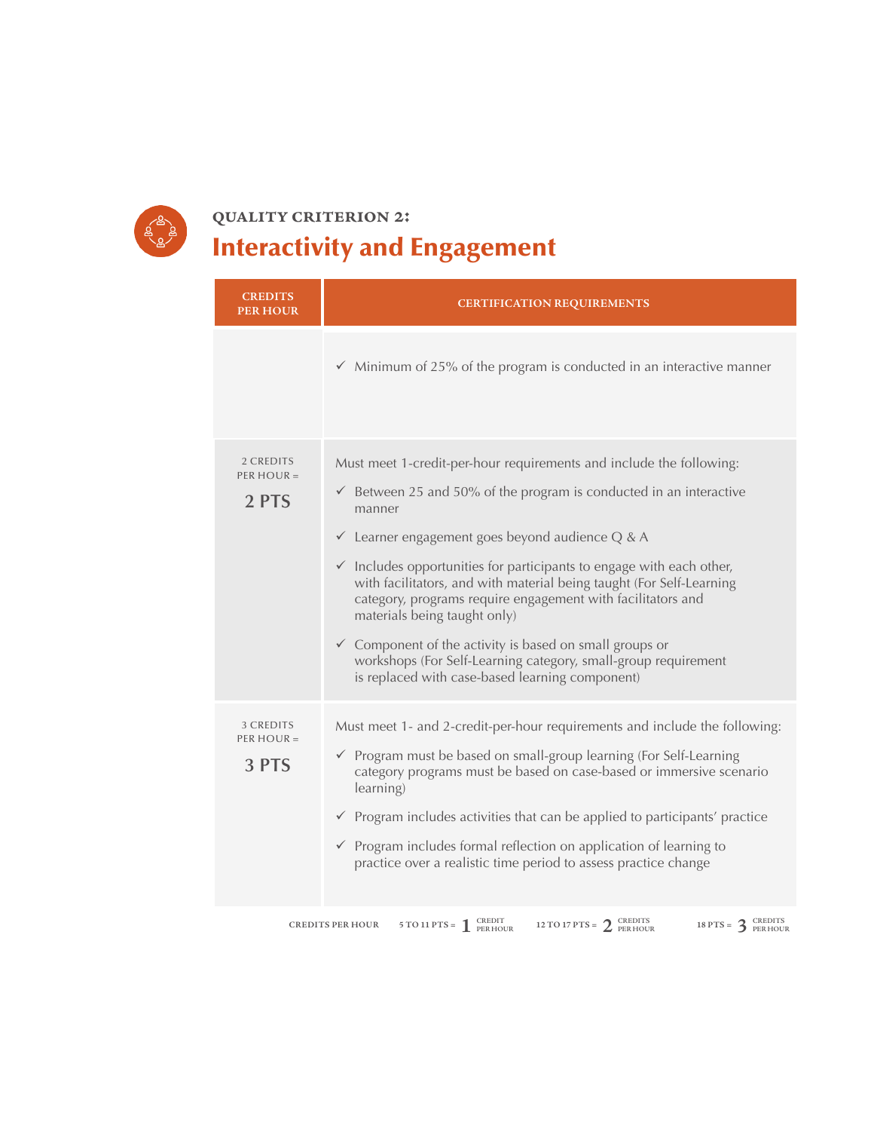

# **quality criterion 2:**  Interactivity and Engagement

| <b>CREDITS</b><br><b>PER HOUR</b>  | <b>CERTIFICATION REQUIREMENTS</b>                                                                                                                                                                                                                                                                                                                                                                                                                                                                                                                                                                                                                                                 |
|------------------------------------|-----------------------------------------------------------------------------------------------------------------------------------------------------------------------------------------------------------------------------------------------------------------------------------------------------------------------------------------------------------------------------------------------------------------------------------------------------------------------------------------------------------------------------------------------------------------------------------------------------------------------------------------------------------------------------------|
|                                    | $\checkmark$ Minimum of 25% of the program is conducted in an interactive manner                                                                                                                                                                                                                                                                                                                                                                                                                                                                                                                                                                                                  |
| 2 CREDITS<br>$PER HOUR =$<br>2 PTS | Must meet 1-credit-per-hour requirements and include the following:<br>$\checkmark$ Between 25 and 50% of the program is conducted in an interactive<br>manner<br>$\checkmark$ Learner engagement goes beyond audience Q & A<br>$\checkmark$ Includes opportunities for participants to engage with each other,<br>with facilitators, and with material being taught (For Self-Learning<br>category, programs require engagement with facilitators and<br>materials being taught only)<br>$\checkmark$ Component of the activity is based on small groups or<br>workshops (For Self-Learning category, small-group requirement<br>is replaced with case-based learning component) |
| 3 CREDITS<br>$PER HOUR =$<br>3 PTS | Must meet 1- and 2-credit-per-hour requirements and include the following:<br>$\checkmark$ Program must be based on small-group learning (For Self-Learning<br>category programs must be based on case-based or immersive scenario<br>learning)<br>$\checkmark$ Program includes activities that can be applied to participants' practice<br>$\checkmark$ Program includes formal reflection on application of learning to<br>practice over a realistic time period to assess practice change                                                                                                                                                                                     |

**12 TO 11 PTS =**  $\int_{\text{PER HOUR}}^{\text{CREDITS}} 12 \text{ TO 17 } \text{PTS} = 2 \text{ PER HOUR}$  **18 PTS =**  $\int_{\text{PER HOUR}}^{\text{CREDITS}} 18 \text{ PTS} = 3 \text{ PER HOUR}$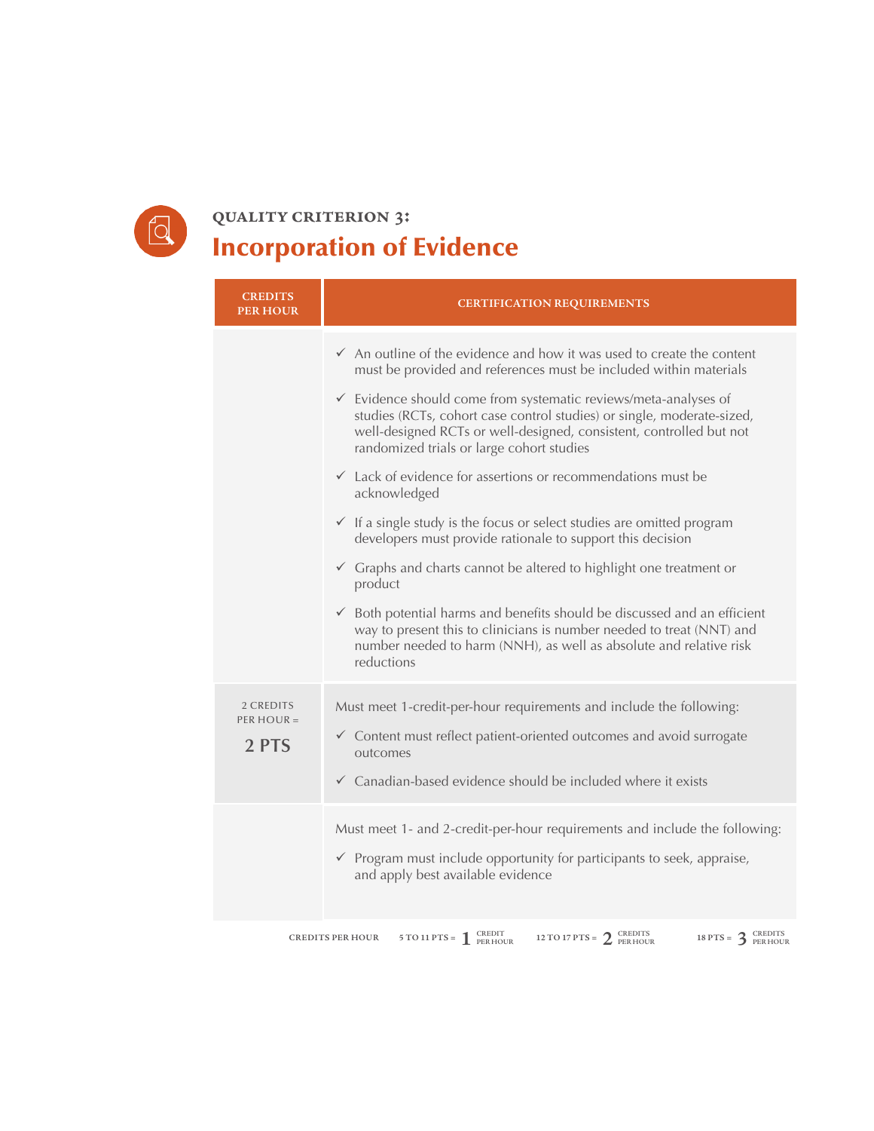

#### **quality criterion 3:**  Incorporation of Evidence

| <b>CREDITS</b><br><b>PER HOUR</b>  | <b>CERTIFICATION REQUIREMENTS</b>                                                                                                                                                                                                                                                                                                                                                                                                                                                                                                                                                                                                                                                                                                                                                                                                                                                                                                                                                                                                 |
|------------------------------------|-----------------------------------------------------------------------------------------------------------------------------------------------------------------------------------------------------------------------------------------------------------------------------------------------------------------------------------------------------------------------------------------------------------------------------------------------------------------------------------------------------------------------------------------------------------------------------------------------------------------------------------------------------------------------------------------------------------------------------------------------------------------------------------------------------------------------------------------------------------------------------------------------------------------------------------------------------------------------------------------------------------------------------------|
|                                    | $\checkmark$ An outline of the evidence and how it was used to create the content<br>must be provided and references must be included within materials<br>$\checkmark$ Evidence should come from systematic reviews/meta-analyses of<br>studies (RCTs, cohort case control studies) or single, moderate-sized,<br>well-designed RCTs or well-designed, consistent, controlled but not<br>randomized trials or large cohort studies<br>$\checkmark$ Lack of evidence for assertions or recommendations must be<br>acknowledged<br>$\checkmark$ If a single study is the focus or select studies are omitted program<br>developers must provide rationale to support this decision<br>$\checkmark$ Graphs and charts cannot be altered to highlight one treatment or<br>product<br>$\checkmark$ Both potential harms and benefits should be discussed and an efficient<br>way to present this to clinicians is number needed to treat (NNT) and<br>number needed to harm (NNH), as well as absolute and relative risk<br>reductions |
| 2 CREDITS<br>PER HOUR $=$<br>2 PTS | Must meet 1-credit-per-hour requirements and include the following:<br>$\checkmark$ Content must reflect patient-oriented outcomes and avoid surrogate<br>outcomes<br>$\checkmark$ Canadian-based evidence should be included where it exists<br>Must meet 1- and 2-credit-per-hour requirements and include the following:                                                                                                                                                                                                                                                                                                                                                                                                                                                                                                                                                                                                                                                                                                       |
|                                    | $\checkmark$ Program must include opportunity for participants to seek, appraise,<br>and apply best available evidence<br>5 TO 11 PTS = $\int_{PER HOUR}^{CREDIT}$<br>12 TO 17 PTS = $2$ CREDITS<br>18 PTS = $3_{PERHOUR}^C$<br><b>CREDITS PER HOUR</b>                                                                                                                                                                                                                                                                                                                                                                                                                                                                                                                                                                                                                                                                                                                                                                           |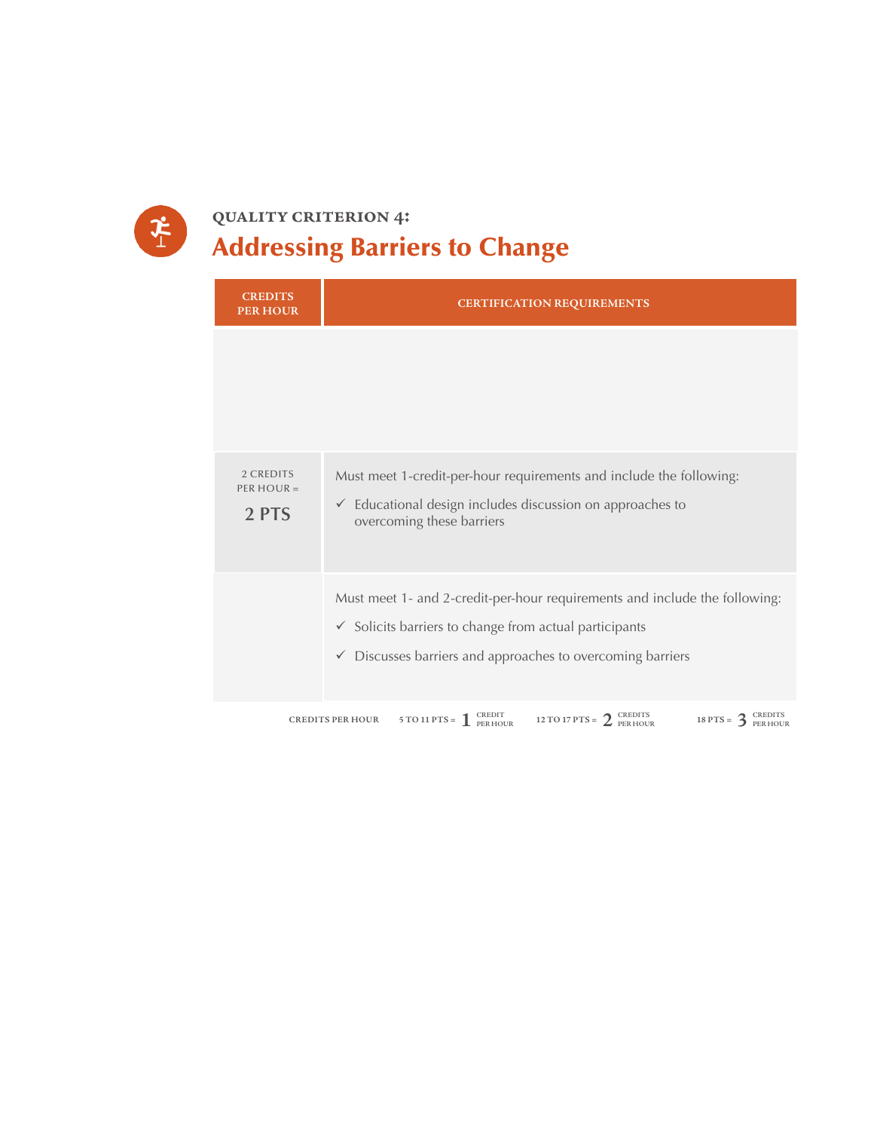

## **quality criterion 4:**  Addressing Barriers to Change

| <b>CREDITS</b><br><b>PER HOUR</b>  | <b>CERTIFICATION REQUIREMENTS</b>                                                                                                                                                                                        |  |  |
|------------------------------------|--------------------------------------------------------------------------------------------------------------------------------------------------------------------------------------------------------------------------|--|--|
|                                    |                                                                                                                                                                                                                          |  |  |
| 2 CREDITS<br>$PER HOUR =$<br>2 PTS | Must meet 1-credit-per-hour requirements and include the following:<br>$\checkmark$ Educational design includes discussion on approaches to<br>overcoming these barriers                                                 |  |  |
|                                    | Must meet 1- and 2-credit-per-hour requirements and include the following:<br>$\checkmark$ Solicits barriers to change from actual participants<br>$\checkmark$ Discusses barriers and approaches to overcoming barriers |  |  |
|                                    | 5 TO 11 PTS = $\int_{\text{PER HOUR}}^{\text{CREDIT}}$<br>12 TO 17 PTS = $2^{CREDITS}$<br>18 PTS = $3_{PERHOUR}^{\text{CREDITS}}$<br><b>CREDITS PER HOUR</b>                                                             |  |  |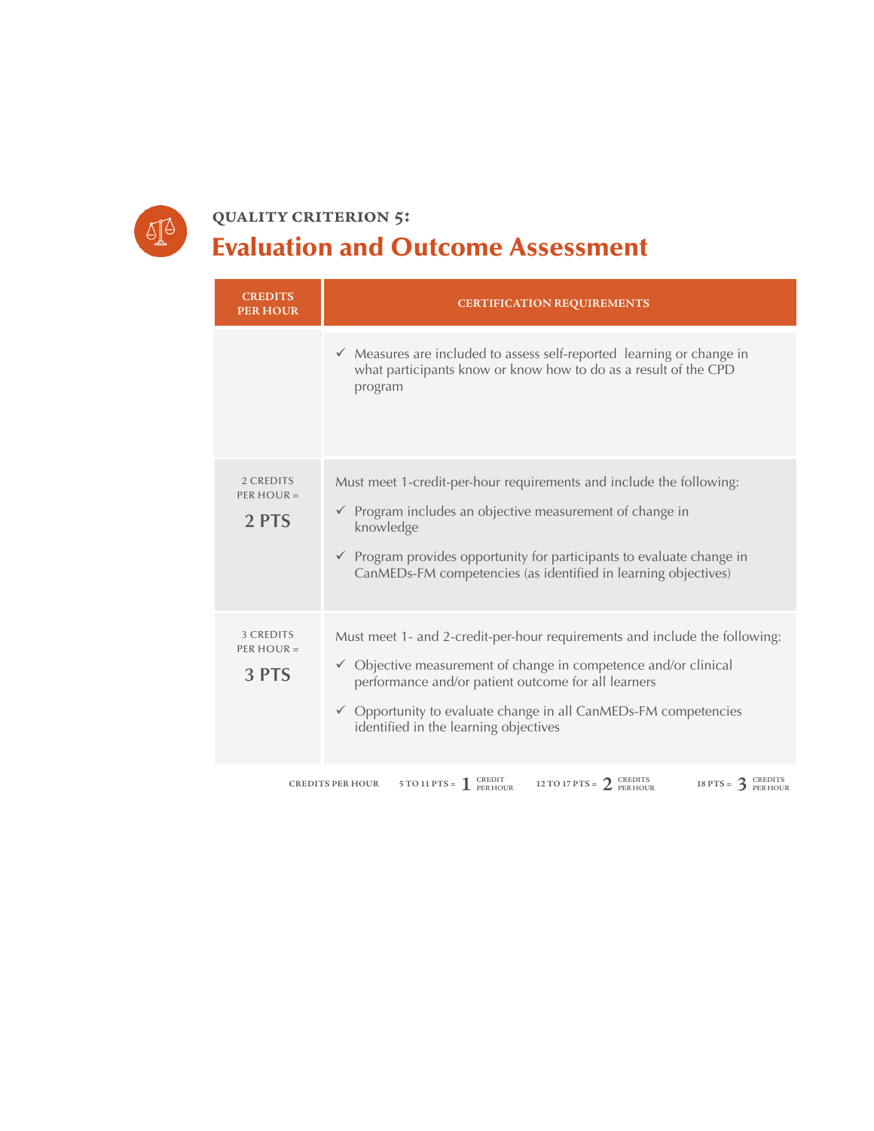

## **quality criterion 5:**  Evaluation and Outcome Assessment

| <b>CREDITS</b><br><b>PER HOUR</b>  | <b>CERTIFICATION REQUIREMENTS</b>                                                                                                                                                                                                                                                                                                      |
|------------------------------------|----------------------------------------------------------------------------------------------------------------------------------------------------------------------------------------------------------------------------------------------------------------------------------------------------------------------------------------|
|                                    | $\checkmark$ Measures are included to assess self-reported learning or change in<br>what participants know or know how to do as a result of the CPD<br>program                                                                                                                                                                         |
| 2 CREDITS<br>PER HOUR $=$<br>2 PTS | Must meet 1-credit-per-hour requirements and include the following:<br>$\checkmark$ Program includes an objective measurement of change in<br>knowledge<br>$\checkmark$ Program provides opportunity for participants to evaluate change in<br>CanMEDs-FM competencies (as identified in learning objectives)                          |
| 3 CREDITS<br>$PER HOUR =$<br>3 PTS | Must meet 1- and 2-credit-per-hour requirements and include the following:<br>$\checkmark$ Objective measurement of change in competence and/or clinical<br>performance and/or patient outcome for all learners<br>$\checkmark$ Opportunity to evaluate change in all CanMEDs-FM competencies<br>identified in the learning objectives |
|                                    | 5 TO 11 PTS = $\int_{\text{PER HOUR}}^{\text{CREDIT}}$<br>12 TO 17 PTS = $2_{PERHOUR}^C$<br>18 PTS = $3$ CREDITS<br>PER HOUR<br><b>CREDITS PER HOUR</b>                                                                                                                                                                                |